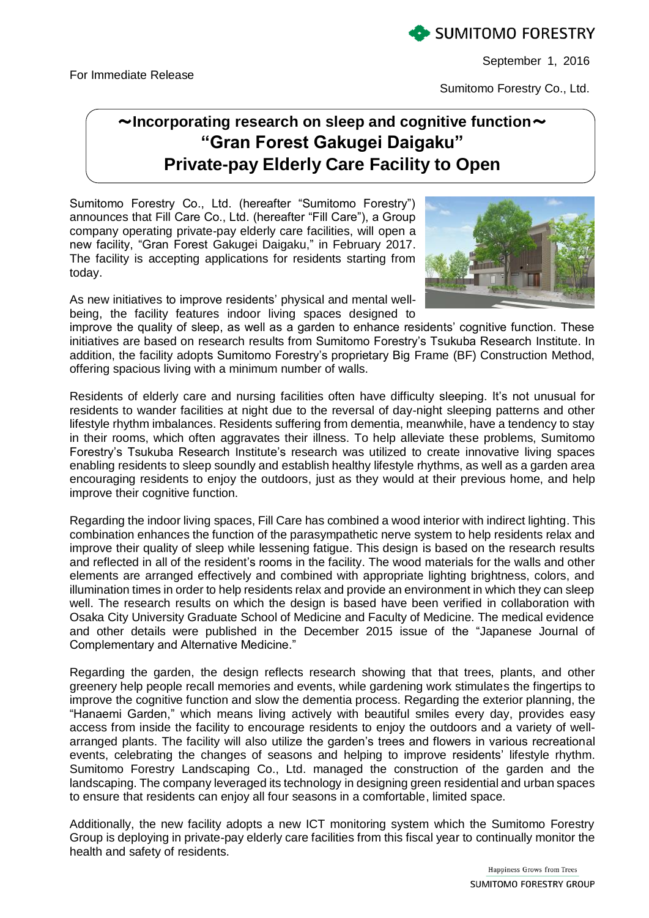For Immediate Release



September 1, 2016

Sumitomo Forestry Co., Ltd.

# ~**Incorporating research on sleep and cognitive function**~ **"Gran Forest Gakugei Daigaku" Private-pay Elderly Care Facility to Open**

Sumitomo Forestry Co., Ltd. (hereafter "Sumitomo Forestry") announces that Fill Care Co., Ltd. (hereafter "Fill Care"), a Group company operating private-pay elderly care facilities, will open a new facility, "Gran Forest Gakugei Daigaku," in February 2017. The facility is accepting applications for residents starting from today.

As new initiatives to improve residents' physical and mental wellbeing, the facility features indoor living spaces designed to

improve the quality of sleep, as well as a garden to enhance residents' cognitive function. These initiatives are based on research results from Sumitomo Forestry's Tsukuba Research Institute. In addition, the facility adopts Sumitomo Forestry's proprietary Big Frame (BF) Construction Method, offering spacious living with a minimum number of walls.

Residents of elderly care and nursing facilities often have difficulty sleeping. It's not unusual for residents to wander facilities at night due to the reversal of day-night sleeping patterns and other lifestyle rhythm imbalances. Residents suffering from dementia, meanwhile, have a tendency to stay in their rooms, which often aggravates their illness. To help alleviate these problems, Sumitomo Forestry's Tsukuba Research Institute's research was utilized to create innovative living spaces enabling residents to sleep soundly and establish healthy lifestyle rhythms, as well as a garden area encouraging residents to enjoy the outdoors, just as they would at their previous home, and help improve their cognitive function.

Regarding the indoor living spaces, Fill Care has combined a wood interior with indirect lighting. This combination enhances the function of the parasympathetic nerve system to help residents relax and improve their quality of sleep while lessening fatigue. This design is based on the research results and reflected in all of the resident's rooms in the facility. The wood materials for the walls and other elements are arranged effectively and combined with appropriate lighting brightness, colors, and illumination times in order to help residents relax and provide an environment in which they can sleep well. The research results on which the design is based have been verified in collaboration with Osaka City University Graduate School of Medicine and Faculty of Medicine. The medical evidence and other details were published in the December 2015 issue of the "Japanese Journal of Complementary and Alternative Medicine."

Regarding the garden, the design reflects research showing that that trees, plants, and other greenery help people recall memories and events, while gardening work stimulates the fingertips to improve the cognitive function and slow the dementia process. Regarding the exterior planning, the "Hanaemi Garden," which means living actively with beautiful smiles every day, provides easy access from inside the facility to encourage residents to enjoy the outdoors and a variety of wellarranged plants. The facility will also utilize the garden's trees and flowers in various recreational events, celebrating the changes of seasons and helping to improve residents' lifestyle rhythm. Sumitomo Forestry Landscaping Co., Ltd. managed the construction of the garden and the landscaping. The company leveraged its technology in designing green residential and urban spaces to ensure that residents can enjoy all four seasons in a comfortable, limited space.

Additionally, the new facility adopts a new ICT monitoring system which the Sumitomo Forestry Group is deploying in private-pay elderly care facilities from this fiscal year to continually monitor the health and safety of residents.

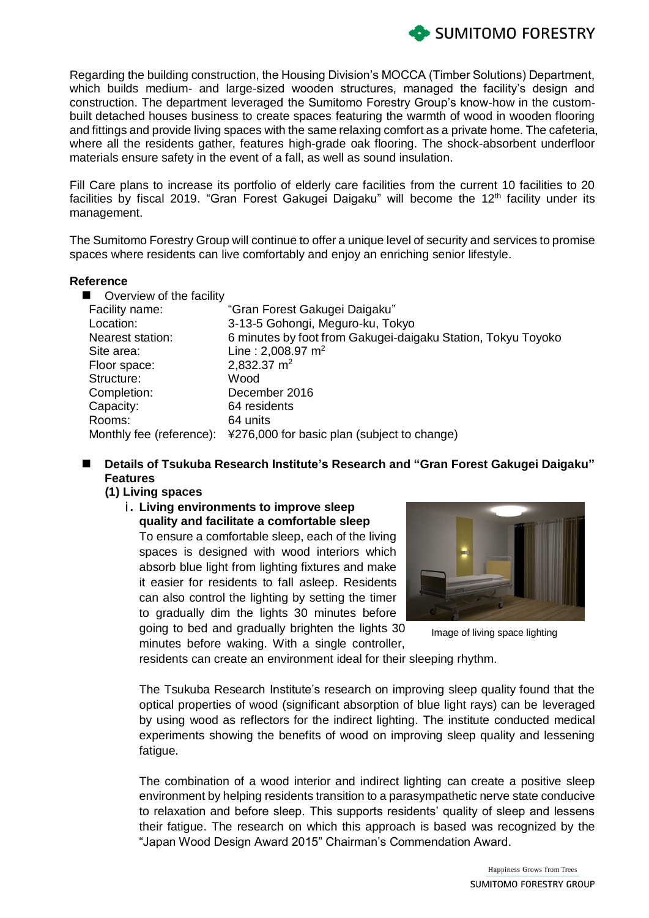

Regarding the building construction, the Housing Division's MOCCA (Timber Solutions) Department, which builds medium- and large-sized wooden structures, managed the facility's design and construction. The department leveraged the Sumitomo Forestry Group's know-how in the custombuilt detached houses business to create spaces featuring the warmth of wood in wooden flooring and fittings and provide living spaces with the same relaxing comfort as a private home. The cafeteria, where all the residents gather, features high-grade oak flooring. The shock-absorbent underfloor materials ensure safety in the event of a fall, as well as sound insulation.

Fill Care plans to increase its portfolio of elderly care facilities from the current 10 facilities to 20 facilities by fiscal 2019. "Gran Forest Gakugei Daigaku" will become the 12<sup>th</sup> facility under its management.

The Sumitomo Forestry Group will continue to offer a unique level of security and services to promise spaces where residents can live comfortably and enjoy an enriching senior lifestyle.

## **Reference**

| ■ Overview of the facility |                                                              |
|----------------------------|--------------------------------------------------------------|
| Facility name:             | "Gran Forest Gakugei Daigaku"                                |
| Location:                  | 3-13-5 Gohongi, Meguro-ku, Tokyo                             |
| Nearest station:           | 6 minutes by foot from Gakugei-daigaku Station, Tokyu Toyoko |
| Site area:                 | Line: 2,008.97 $m2$                                          |
| Floor space:               | 2,832.37 $m2$                                                |
| Structure:                 | Wood                                                         |
| Completion:                | December 2016                                                |
| Capacity:                  | 64 residents                                                 |
| Rooms:                     | 64 units                                                     |
| Monthly fee (reference):   | ¥276,000 for basic plan (subject to change)                  |

## **Details of Tsukuba Research Institute's Research and "Gran Forest Gakugei Daigaku" Features**

#### **(1) Living spaces**

i**. Living environments to improve sleep quality and facilitate a comfortable sleep**

To ensure a comfortable sleep, each of the living spaces is designed with wood interiors which absorb blue light from lighting fixtures and make it easier for residents to fall asleep. Residents can also control the lighting by setting the timer to gradually dim the lights 30 minutes before going to bed and gradually brighten the lights 30

minutes before waking. With a single controller,



Image of living space lighting

residents can create an environment ideal for their sleeping rhythm.

The Tsukuba Research Institute's research on improving sleep quality found that the optical properties of wood (significant absorption of blue light rays) can be leveraged by using wood as reflectors for the indirect lighting. The institute conducted medical experiments showing the benefits of wood on improving sleep quality and lessening fatigue.

The combination of a wood interior and indirect lighting can create a positive sleep environment by helping residents transition to a parasympathetic nerve state conducive to relaxation and before sleep. This supports residents' quality of sleep and lessens their fatigue. The research on which this approach is based was recognized by the "Japan Wood Design Award 2015" Chairman's Commendation Award.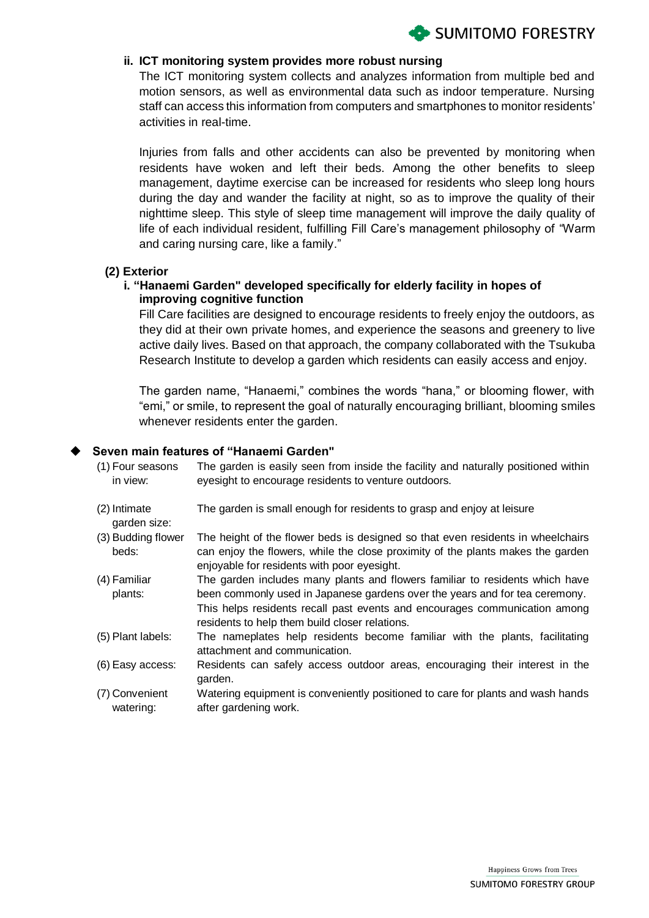

## **ii. ICT monitoring system provides more robust nursing**

The ICT monitoring system collects and analyzes information from multiple bed and motion sensors, as well as environmental data such as indoor temperature. Nursing staff can access this information from computers and smartphones to monitor residents' activities in real-time.

Injuries from falls and other accidents can also be prevented by monitoring when residents have woken and left their beds. Among the other benefits to sleep management, daytime exercise can be increased for residents who sleep long hours during the day and wander the facility at night, so as to improve the quality of their nighttime sleep. This style of sleep time management will improve the daily quality of life of each individual resident, fulfilling Fill Care's management philosophy of "Warm and caring nursing care, like a family."

## **(2) Exterior**

## **i. "Hanaemi Garden" developed specifically for elderly facility in hopes of improving cognitive function**

Fill Care facilities are designed to encourage residents to freely enjoy the outdoors, as they did at their own private homes, and experience the seasons and greenery to live active daily lives. Based on that approach, the company collaborated with the Tsukuba Research Institute to develop a garden which residents can easily access and enjoy.

The garden name, "Hanaemi," combines the words "hana," or blooming flower, with "emi," or smile, to represent the goal of naturally encouraging brilliant, blooming smiles whenever residents enter the garden.

## **Seven main features of "Hanaemi Garden"**

| Seven main features of "Hanaemi Garden" |                                                                                                                                                                                                                                                                                             |
|-----------------------------------------|---------------------------------------------------------------------------------------------------------------------------------------------------------------------------------------------------------------------------------------------------------------------------------------------|
| (1) Four seasons<br>in view:            | The garden is easily seen from inside the facility and naturally positioned within<br>eyesight to encourage residents to venture outdoors.                                                                                                                                                  |
| (2) Intimate<br>garden size:            | The garden is small enough for residents to grasp and enjoy at leisure                                                                                                                                                                                                                      |
| (3) Budding flower<br>beds:             | The height of the flower beds is designed so that even residents in wheelchairs<br>can enjoy the flowers, while the close proximity of the plants makes the garden<br>enjoyable for residents with poor eyesight.                                                                           |
| (4) Familiar<br>plants:                 | The garden includes many plants and flowers familiar to residents which have<br>been commonly used in Japanese gardens over the years and for tea ceremony.<br>This helps residents recall past events and encourages communication among<br>residents to help them build closer relations. |
| (5) Plant labels:                       | The nameplates help residents become familiar with the plants, facilitating<br>attachment and communication.                                                                                                                                                                                |
| (6) Easy access:                        | Residents can safely access outdoor areas, encouraging their interest in the<br>garden.                                                                                                                                                                                                     |
| (7) Convenient<br>watering:             | Watering equipment is conveniently positioned to care for plants and wash hands<br>after gardening work.                                                                                                                                                                                    |